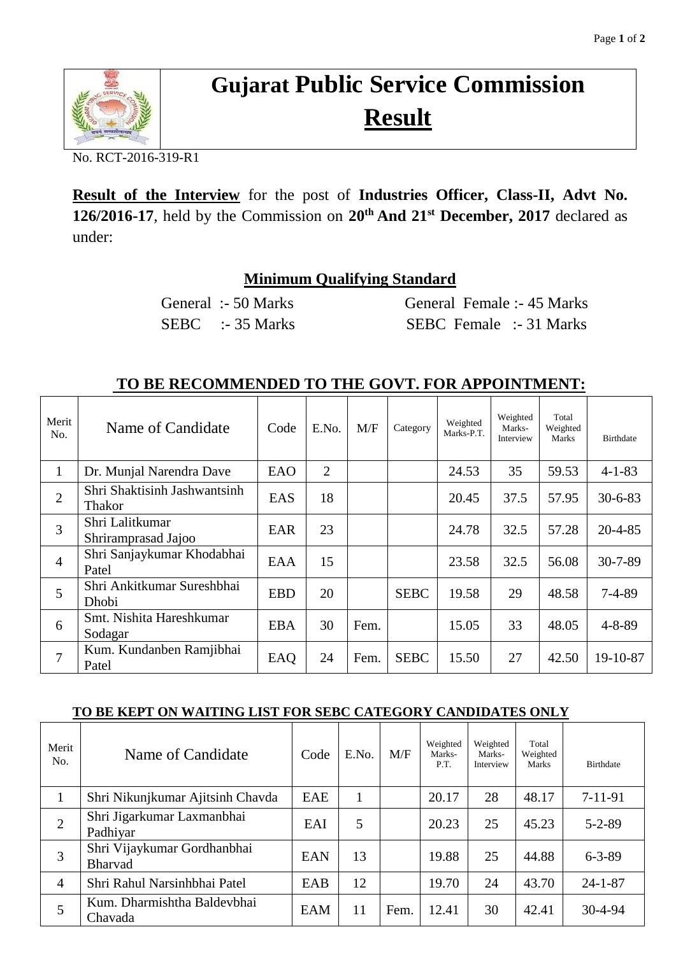

## **Gujarat Public Service Commission Result**

No. RCT-2016-319-R1

**Result of the Interview** for the post of **Industries Officer, Class-II, Advt No. 126/2016-17**, held by the Commission on **20th And 21st December, 2017** declared as under:

## **Minimum Qualifying Standard**

General :- 50 Marks General Female :- 45 Marks SEBC :- 35 Marks SEBC Female :- 31 Marks

## **TO BE RECOMMENDED TO THE GOVT. FOR APPOINTMENT:**

| Merit<br>No.   | Name of Candidate                      | Code       | E.No.          | M/F  | Category    | Weighted<br>Marks-P.T. | Weighted<br>Marks-<br>Interview | Total<br>Weighted<br><b>Marks</b> | <b>Birthdate</b> |
|----------------|----------------------------------------|------------|----------------|------|-------------|------------------------|---------------------------------|-----------------------------------|------------------|
| 1              | Dr. Munjal Narendra Dave               | EAO        | $\overline{2}$ |      |             | 24.53                  | 35                              | 59.53                             | $4 - 1 - 83$     |
| $\overline{2}$ | Shri Shaktisinh Jashwantsinh<br>Thakor | EAS        | 18             |      |             | 20.45                  | 37.5                            | 57.95                             | $30 - 6 - 83$    |
| 3              | Shri Lalitkumar<br>Shriramprasad Jajoo | EAR        | 23             |      |             | 24.78                  | 32.5                            | 57.28                             | $20 - 4 - 85$    |
| $\overline{4}$ | Shri Sanjaykumar Khodabhai<br>Patel    | EAA        | 15             |      |             | 23.58                  | 32.5                            | 56.08                             | $30 - 7 - 89$    |
| 5              | Shri Ankitkumar Sureshbhai<br>Dhobi    | <b>EBD</b> | 20             |      | <b>SEBC</b> | 19.58                  | 29                              | 48.58                             | $7 - 4 - 89$     |
| 6              | Smt. Nishita Hareshkumar<br>Sodagar    | <b>EBA</b> | 30             | Fem. |             | 15.05                  | 33                              | 48.05                             | $4 - 8 - 89$     |
| $\tau$         | Kum. Kundanben Ramjibhai<br>Patel      | EAQ        | 24             | Fem. | <b>SEBC</b> | 15.50                  | 27                              | 42.50                             | 19-10-87         |

## **TO BE KEPT ON WAITING LIST FOR SEBC CATEGORY CANDIDATES ONLY**

| Merit<br>No.   | Name of Candidate                             | Code       | E.No. | M/F  | Weighted<br>Marks-<br>P.T. | Weighted<br>Marks-<br>Interview | Total<br>Weighted<br>Marks | <b>Birthdate</b> |
|----------------|-----------------------------------------------|------------|-------|------|----------------------------|---------------------------------|----------------------------|------------------|
| $\mathbf{1}$   | Shri Nikunjkumar Ajitsinh Chavda              | <b>EAE</b> |       |      | 20.17                      | 28                              | 48.17                      | $7-11-91$        |
| $\overline{2}$ | Shri Jigarkumar Laxmanbhai<br>Padhiyar        | EAI        | 5     |      | 20.23                      | 25                              | 45.23                      | $5 - 2 - 89$     |
| 3              | Shri Vijaykumar Gordhanbhai<br><b>Bharvad</b> | <b>EAN</b> | 13    |      | 19.88                      | 25                              | 44.88                      | $6 - 3 - 89$     |
| $\overline{4}$ | Shri Rahul Narsinhbhai Patel                  | EAB        | 12    |      | 19.70                      | 24                              | 43.70                      | $24 - 1 - 87$    |
| 5              | Kum. Dharmishtha Baldevbhai<br>Chavada        | EAM        | 11    | Fem. | 12.41                      | 30                              | 42.41                      | $30 - 4 - 94$    |